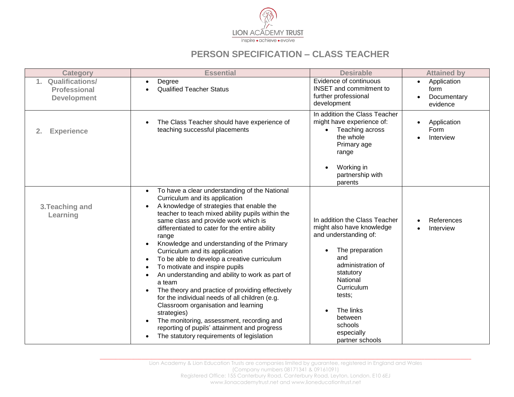

## **PERSON SPECIFICATION – CLASS TEACHER**

| <b>Category</b>                                          | <b>Essential</b>                                                                                                                                                                                                                                                                                                                                                                                                                                                                                                                                                                                                                                                                                                                                                                                                                     | <b>Desirable</b>                                                                                                                                                                                                                                                     | <b>Attained by</b>                                          |
|----------------------------------------------------------|--------------------------------------------------------------------------------------------------------------------------------------------------------------------------------------------------------------------------------------------------------------------------------------------------------------------------------------------------------------------------------------------------------------------------------------------------------------------------------------------------------------------------------------------------------------------------------------------------------------------------------------------------------------------------------------------------------------------------------------------------------------------------------------------------------------------------------------|----------------------------------------------------------------------------------------------------------------------------------------------------------------------------------------------------------------------------------------------------------------------|-------------------------------------------------------------|
| 1. Qualifications/<br>Professional<br><b>Development</b> | Degree<br><b>Qualified Teacher Status</b>                                                                                                                                                                                                                                                                                                                                                                                                                                                                                                                                                                                                                                                                                                                                                                                            | Evidence of continuous<br><b>INSET</b> and commitment to<br>further professional<br>development                                                                                                                                                                      | Application<br>$\bullet$<br>form<br>Documentary<br>evidence |
| 2.<br><b>Experience</b>                                  | The Class Teacher should have experience of<br>teaching successful placements                                                                                                                                                                                                                                                                                                                                                                                                                                                                                                                                                                                                                                                                                                                                                        | In addition the Class Teacher<br>might have experience of:<br>Teaching across<br>$\bullet$<br>the whole<br>Primary age<br>range<br>Working in<br>$\bullet$<br>partnership with<br>parents                                                                            | Application<br>Form<br>Interview                            |
| 3. Teaching and<br>Learning                              | To have a clear understanding of the National<br>$\bullet$<br>Curriculum and its application<br>A knowledge of strategies that enable the<br>teacher to teach mixed ability pupils within the<br>same class and provide work which is<br>differentiated to cater for the entire ability<br>range<br>Knowledge and understanding of the Primary<br>Curriculum and its application<br>To be able to develop a creative curriculum<br>To motivate and inspire pupils<br>An understanding and ability to work as part of<br>a team<br>The theory and practice of providing effectively<br>for the individual needs of all children (e.g.<br>Classroom organisation and learning<br>strategies)<br>The monitoring, assessment, recording and<br>reporting of pupils' attainment and progress<br>The statutory requirements of legislation | In addition the Class Teacher<br>might also have knowledge<br>and understanding of:<br>The preparation<br>$\bullet$<br>and<br>administration of<br>statutory<br>National<br>Curriculum<br>tests;<br>The links<br>between<br>schools<br>especially<br>partner schools | References<br>Interview                                     |

**\_\_\_\_\_\_\_\_\_\_\_\_\_\_\_\_\_\_\_\_\_\_\_\_\_\_\_\_\_\_\_\_\_\_\_\_\_\_\_\_\_\_\_\_\_\_\_\_\_\_\_\_\_\_\_\_\_\_\_\_\_\_\_\_\_\_\_\_\_\_\_\_\_\_\_\_\_\_\_\_\_\_\_\_\_\_\_\_\_\_\_\_\_\_\_\_\_\_\_\_\_\_\_\_\_\_\_\_\_\_\_\_\_\_\_\_\_\_\_\_\_\_\_\_\_\_\_\_\_\_\_\_\_\_\_\_\_\_\_\_\_\_\_**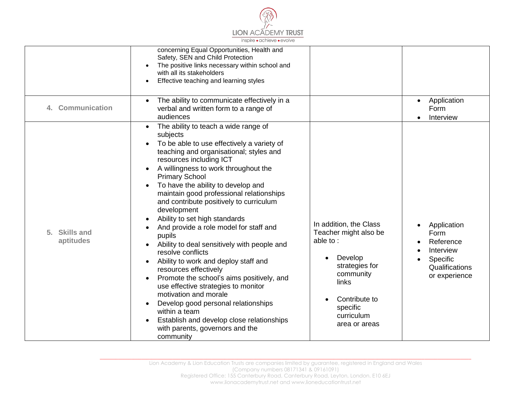

|                                      | concerning Equal Opportunities, Health and<br>Safety, SEN and Child Protection<br>The positive links necessary within school and<br>with all its stakeholders<br>Effective teaching and learning styles<br>The ability to communicate effectively in a                                                                                                                                                                                                                                                                                                                                                                                                                                                                                                                                                                                                                        |                                                                                                                                                                                         | Application<br>$\bullet$                                                                     |
|--------------------------------------|-------------------------------------------------------------------------------------------------------------------------------------------------------------------------------------------------------------------------------------------------------------------------------------------------------------------------------------------------------------------------------------------------------------------------------------------------------------------------------------------------------------------------------------------------------------------------------------------------------------------------------------------------------------------------------------------------------------------------------------------------------------------------------------------------------------------------------------------------------------------------------|-----------------------------------------------------------------------------------------------------------------------------------------------------------------------------------------|----------------------------------------------------------------------------------------------|
| <b>Communication</b>                 | verbal and written form to a range of<br>audiences                                                                                                                                                                                                                                                                                                                                                                                                                                                                                                                                                                                                                                                                                                                                                                                                                            |                                                                                                                                                                                         | Form<br>Interview                                                                            |
| <b>Skills and</b><br>5.<br>aptitudes | The ability to teach a wide range of<br>subjects<br>To be able to use effectively a variety of<br>teaching and organisational; styles and<br>resources including ICT<br>A willingness to work throughout the<br><b>Primary School</b><br>To have the ability to develop and<br>maintain good professional relationships<br>and contribute positively to curriculum<br>development<br>Ability to set high standards<br>And provide a role model for staff and<br>pupils<br>Ability to deal sensitively with people and<br>resolve conflicts<br>Ability to work and deploy staff and<br>resources effectively<br>Promote the school's aims positively, and<br>use effective strategies to monitor<br>motivation and morale<br>Develop good personal relationships<br>within a team<br>Establish and develop close relationships<br>with parents, governors and the<br>community | In addition, the Class<br>Teacher might also be<br>able to:<br>Develop<br>$\bullet$<br>strategies for<br>community<br>links<br>Contribute to<br>specific<br>curriculum<br>area or areas | Application<br>Form<br>Reference<br>Interview<br>Specific<br>Qualifications<br>or experience |

**\_\_\_\_\_\_\_\_\_\_\_\_\_\_\_\_\_\_\_\_\_\_\_\_\_\_\_\_\_\_\_\_\_\_\_\_\_\_\_\_\_\_\_\_\_\_\_\_\_\_\_\_\_\_\_\_\_\_\_\_\_\_\_\_\_\_\_\_\_\_\_\_\_\_\_\_\_\_\_\_\_\_\_\_\_\_\_\_\_\_\_\_\_\_\_\_\_\_\_\_\_\_\_\_\_\_\_\_\_\_\_\_\_\_\_\_\_\_\_\_\_\_\_\_\_\_\_\_\_\_\_\_\_\_\_\_\_\_\_\_\_\_\_**